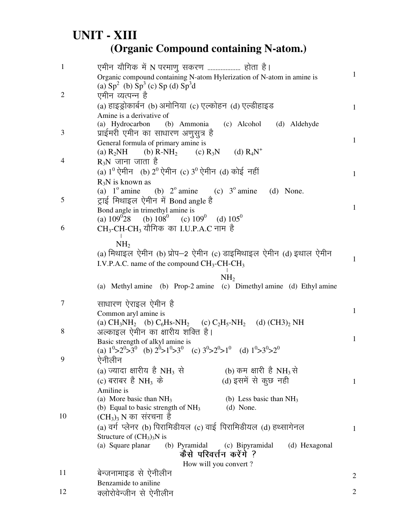## **UNIT - XIII (Organic Compound containing N-atom.)**

| $\mathbf{1}$   | एमीन यौगिक में N परमाणु सकरण  होता है।<br>Organic compound containing N-atom Hylerization of N-atom in amine is<br>(a) $Sp2$ (b) $Sp3$ (c) $Sp$ (d) $Sp3d$ | 1              |
|----------------|------------------------------------------------------------------------------------------------------------------------------------------------------------|----------------|
| $\overline{2}$ | एमीन व्यत्पन्न है                                                                                                                                          |                |
|                | (a) हाइड्रोकार्बन (b) अमोनिया (c) एल्कोहन (d) एल्डीहाइड                                                                                                    | $\mathbf{1}$   |
|                | Amine is a derivative of                                                                                                                                   |                |
|                | (a) Hydrocarbon<br>(c) Alcohol<br>(b) Ammonia<br>(d) Aldehyde                                                                                              |                |
| 3              | प्राईमरी एमीन का साधारण अणुसुत्र है                                                                                                                        |                |
|                | General formula of primary amine is                                                                                                                        | $\mathbf{1}$   |
|                | (c) $R_3N$ (d) $R_4N^+$<br>(a) $R_2NH$<br>(b) $R-NH2$                                                                                                      |                |
| 4              | $R_3N$ जाना जाता है                                                                                                                                        |                |
|                | (a) $1^0$ ऐमीन (b) $2^0$ ऐमीन (c) $3^0$ ऐमीन (d) कोई नहीं                                                                                                  | $\mathbf{1}$   |
|                | $R_3N$ is known as                                                                                                                                         |                |
| 5              | (a) $1^\circ$ amine<br>(b) $2^{\circ}$ amine (c) $3^{\circ}$ amine<br>(d) None.<br>ट्राई मिथाइल ऐमीन में Bond angle है                                     |                |
|                | Bond angle in trimethyl amine is                                                                                                                           | $\mathbf{1}$   |
|                | (a) $109^{\circ}28$ (b) $108^{\circ}$ (c) $109^{\circ}$ (d) $105^{\circ}$                                                                                  |                |
| 6              | CH <sub>3</sub> -CH-CH <sub>3</sub> यौगिक का I.U.P.A.C नाम है                                                                                              |                |
|                |                                                                                                                                                            |                |
|                | NH <sub>2</sub><br>(a) मिथाइल ऐमीन (b) प्रोप-2 ऐमीन (c) डाइमिथाइल ऐमीन (d) इथाल ऐमीन                                                                       |                |
|                | I.V.P.A.C. name of the compound $CH_3$ -CH-CH <sub>3</sub>                                                                                                 | $\mathbf{1}$   |
|                |                                                                                                                                                            |                |
|                | NH <sub>2</sub>                                                                                                                                            |                |
|                | (a) Methyl amine (b) Prop-2 amine (c) Dimethyl amine (d) Ethyl amine                                                                                       |                |
| 7              | साधारण ऐराइल ऐमीन है                                                                                                                                       |                |
|                | Common aryl amine is                                                                                                                                       | $\mathbf{1}$   |
|                | (a) $CH_3NH_2$ (b) $C_6H_8-NH_2$ (c) $C_2H_5-NH_2$ (d) $(CH3)_2NH$                                                                                         |                |
| 8              | अल्काइल ऐमीन का क्षारीय शक्ति है।                                                                                                                          |                |
|                | Basic strength of alkyl amine is                                                                                                                           | 1              |
|                | (a) $1^0 > 2^0 > 3^0$ (b) $2^0 > 1^0 > 3^0$ (c) $3^0 > 2^0 > 1^0$ (d) $1^0 > 3^0 > 2^0$                                                                    |                |
| 9              | ऐनीलीन                                                                                                                                                     |                |
|                | (a) ज्यादा क्षारीय है NH <sub>3</sub> से<br>(b) कम क्षारी है NH <sub>3</sub> से                                                                            |                |
|                | (c) बराबर है NH <sub>3</sub> के<br>(d) इसमें से कुछ नही<br>Amiline is                                                                                      | $\mathbf{1}$   |
|                | (a) More basic than $NH3$<br>(b) Less basic than $NH3$                                                                                                     |                |
|                | (b) Equal to basic strength of $NH3$<br>(d) None.                                                                                                          |                |
| 10             | $(CH_3)_3$ N का संरचना है                                                                                                                                  |                |
|                | (a) वर्ग प्लेनर (b) पिरामिडीयल (c) वाई पिरामिडीयल (d) हथ्सागेनल                                                                                            | $\mathbf{1}$   |
|                | Structure of $(CH_3)_3N$ is                                                                                                                                |                |
|                | (b) Pyramidal (c) Bipyramidal<br>(a) Square planar<br>(d) Hexagonal                                                                                        |                |
|                | कैसे परिवर्त्तन करेंगे ?                                                                                                                                   |                |
| 11             | How will you convert?<br>बेन्जनामाइड से ऐनीलीन                                                                                                             |                |
|                | Benzamide to aniline                                                                                                                                       | $\overline{2}$ |
| 12             | क्लोरोवेन्जीन से ऐनीलीन                                                                                                                                    | $\overline{2}$ |
|                |                                                                                                                                                            |                |